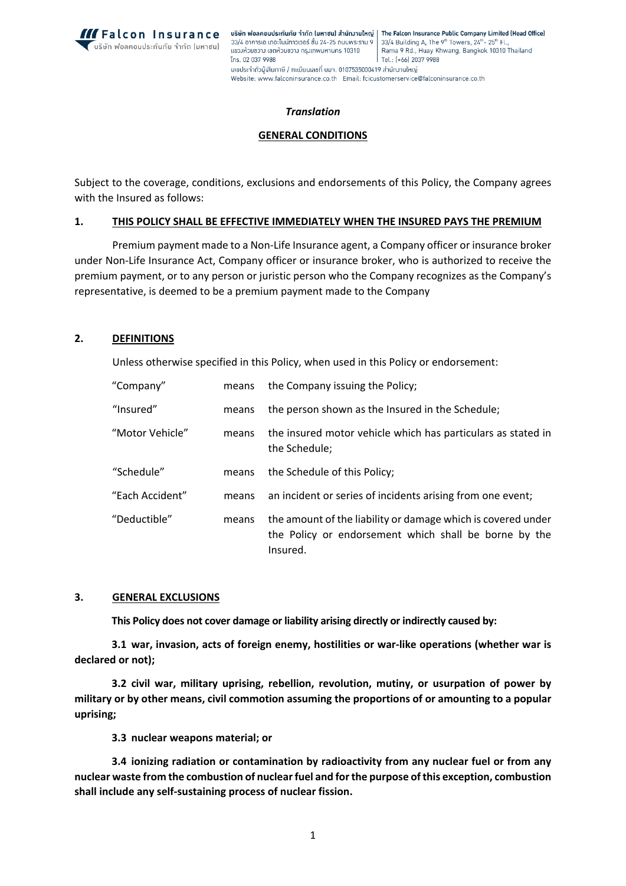

### *Translation*

#### **GENERAL CONDITIONS**

Subject to the coverage, conditions, exclusions and endorsements of this Policy, the Company agrees with the Insured as follows:

#### **1. THIS POLICY SHALL BE EFFECTIVE IMMEDIATELY WHEN THE INSURED PAYS THE PREMIUM**

Premium payment made to a Non-Life Insurance agent, a Company officer or insurance broker under Non-Life Insurance Act, Company officer or insurance broker, who is authorized to receive the premium payment, or to any person or juristic person who the Company recognizes as the Company's representative, is deemed to be a premium payment made to the Company

## **2. DEFINITIONS**

Unless otherwise specified in this Policy, when used in this Policy or endorsement:

| "Company"       | means | the Company issuing the Policy;                                                                                                   |
|-----------------|-------|-----------------------------------------------------------------------------------------------------------------------------------|
| "Insured"       | means | the person shown as the Insured in the Schedule;                                                                                  |
| "Motor Vehicle" | means | the insured motor vehicle which has particulars as stated in<br>the Schedule;                                                     |
| "Schedule"      | means | the Schedule of this Policy;                                                                                                      |
| "Each Accident" | means | an incident or series of incidents arising from one event;                                                                        |
| "Deductible"    | means | the amount of the liability or damage which is covered under<br>the Policy or endorsement which shall be borne by the<br>Insured. |

#### **3. GENERAL EXCLUSIONS**

**This Policy does not cover damage or liability arising directly or indirectly caused by:**

**3.1 war, invasion, acts of foreign enemy, hostilities or war-like operations (whether war is declared or not);**

**3.2 civil war, military uprising, rebellion, revolution, mutiny, or usurpation of power by military or by other means, civil commotion assuming the proportions of or amounting to a popular uprising;**

**3.3 nuclear weapons material; or**

**3.4 ionizing radiation or contamination by radioactivity from any nuclear fuel or from any nuclear waste from the combustion of nuclear fuel and for the purpose of this exception, combustion shall include any self-sustaining process of nuclear fission.**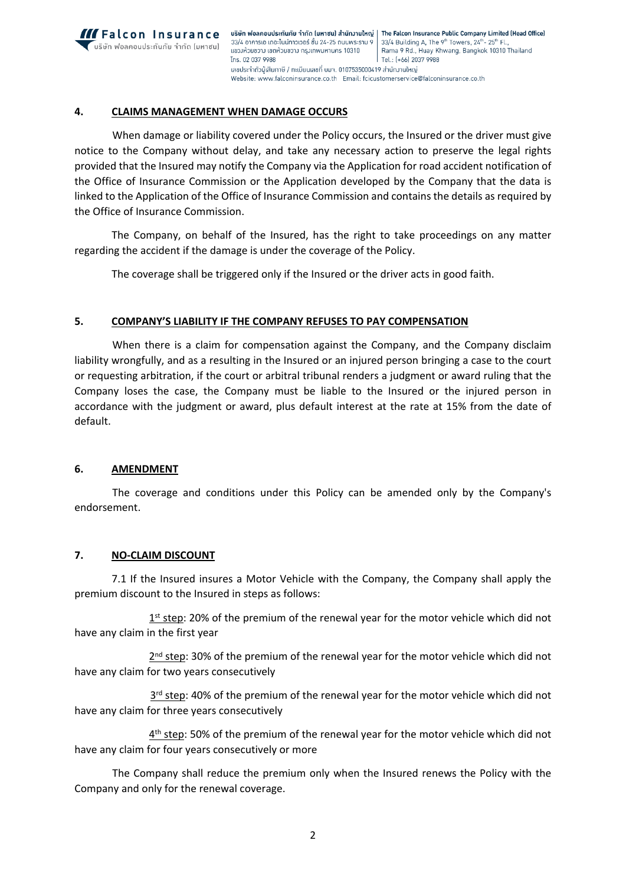

## **4. CLAIMS MANAGEMENT WHEN DAMAGE OCCURS**

When damage or liability covered under the Policy occurs, the Insured or the driver must give notice to the Company without delay, and take any necessary action to preserve the legal rights provided that the Insured may notify the Company via the Application for road accident notification of the Office of Insurance Commission or the Application developed by the Company that the data is linked to the Application of the Office of Insurance Commission and contains the details as required by the Office of Insurance Commission.

The Company, on behalf of the Insured, has the right to take proceedings on any matter regarding the accident if the damage is under the coverage of the Policy.

The coverage shall be triggered only if the Insured or the driver acts in good faith.

# **5. COMPANY'S LIABILITY IF THE COMPANY REFUSES TO PAY COMPENSATION**

When there is a claim for compensation against the Company, and the Company disclaim liability wrongfully, and as a resulting in the Insured or an injured person bringing a case to the court or requesting arbitration, if the court or arbitral tribunal renders a judgment or award ruling that the Company loses the case, the Company must be liable to the Insured or the injured person in accordance with the judgment or award, plus default interest at the rate at 15% from the date of default.

### **6. AMENDMENT**

The coverage and conditions under this Policy can be amended only by the Company's endorsement.

### **7. NO-CLAIM DISCOUNT**

7.1 If the Insured insures a Motor Vehicle with the Company, the Company shall apply the premium discount to the Insured in steps as follows:

1<sup>st</sup> step: 20% of the premium of the renewal year for the motor vehicle which did not have any claim in the first year

2<sup>nd</sup> step: 30% of the premium of the renewal year for the motor vehicle which did not have any claim for two years consecutively

3<sup>rd</sup> step: 40% of the premium of the renewal year for the motor vehicle which did not have any claim for three years consecutively

 $4<sup>th</sup>$  step: 50% of the premium of the renewal year for the motor vehicle which did not have any claim for four years consecutively or more

The Company shall reduce the premium only when the Insured renews the Policy with the Company and only for the renewal coverage.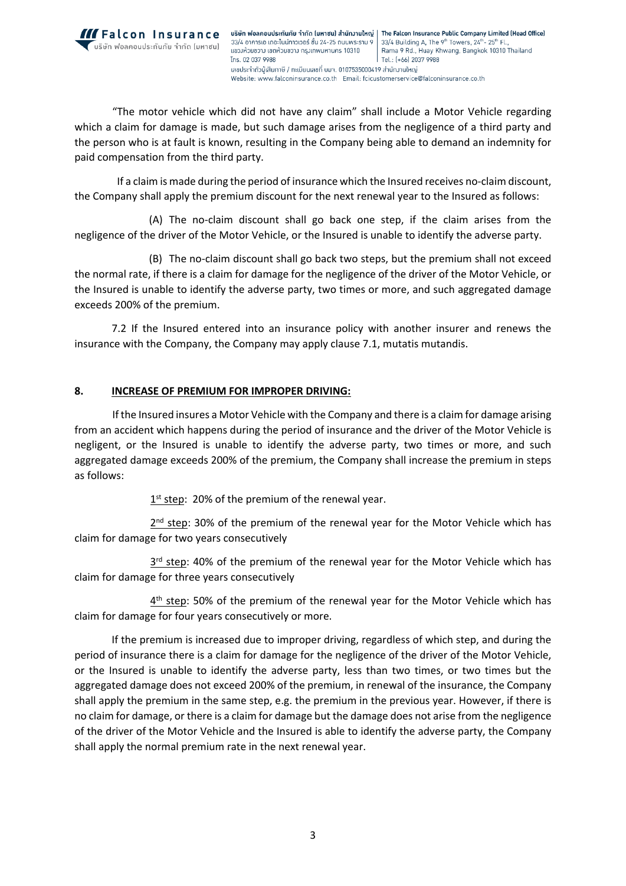

"The motor vehicle which did not have any claim" shall include a Motor Vehicle regarding which a claim for damage is made, but such damage arises from the negligence of a third party and the person who is at fault is known, resulting in the Company being able to demand an indemnity for paid compensation from the third party.

If a claim is made during the period of insurance which the Insured receives no-claim discount, the Company shall apply the premium discount for the next renewal year to the Insured as follows:

(A) The no-claim discount shall go back one step, if the claim arises from the negligence of the driver of the Motor Vehicle, or the Insured is unable to identify the adverse party.

(B) The no-claim discount shall go back two steps, but the premium shall not exceed the normal rate, if there is a claim for damage for the negligence of the driver of the Motor Vehicle, or the Insured is unable to identify the adverse party, two times or more, and such aggregated damage exceeds 200% of the premium.

7.2 If the Insured entered into an insurance policy with another insurer and renews the insurance with the Company, the Company may apply clause 7.1, mutatis mutandis.

# **8. INCREASE OF PREMIUM FOR IMPROPER DRIVING:**

If the Insured insures a Motor Vehicle with the Company and there is a claim for damage arising from an accident which happens during the period of insurance and the driver of the Motor Vehicle is negligent, or the Insured is unable to identify the adverse party, two times or more, and such aggregated damage exceeds 200% of the premium, the Company shall increase the premium in steps as follows:

1<sup>st</sup> step: 20% of the premium of the renewal year.

2<sup>nd</sup> step: 30% of the premium of the renewal year for the Motor Vehicle which has claim for damage for two years consecutively

3<sup>rd</sup> step: 40% of the premium of the renewal year for the Motor Vehicle which has claim for damage for three years consecutively

4<sup>th</sup> step: 50% of the premium of the renewal year for the Motor Vehicle which has claim for damage for four years consecutively or more.

If the premium is increased due to improper driving, regardless of which step, and during the period of insurance there is a claim for damage for the negligence of the driver of the Motor Vehicle, or the Insured is unable to identify the adverse party, less than two times, or two times but the aggregated damage does not exceed 200% of the premium, in renewal of the insurance, the Company shall apply the premium in the same step, e.g. the premium in the previous year. However, if there is no claim for damage, or there is a claim for damage but the damage does not arise from the negligence of the driver of the Motor Vehicle and the Insured is able to identify the adverse party, the Company shall apply the normal premium rate in the next renewal year.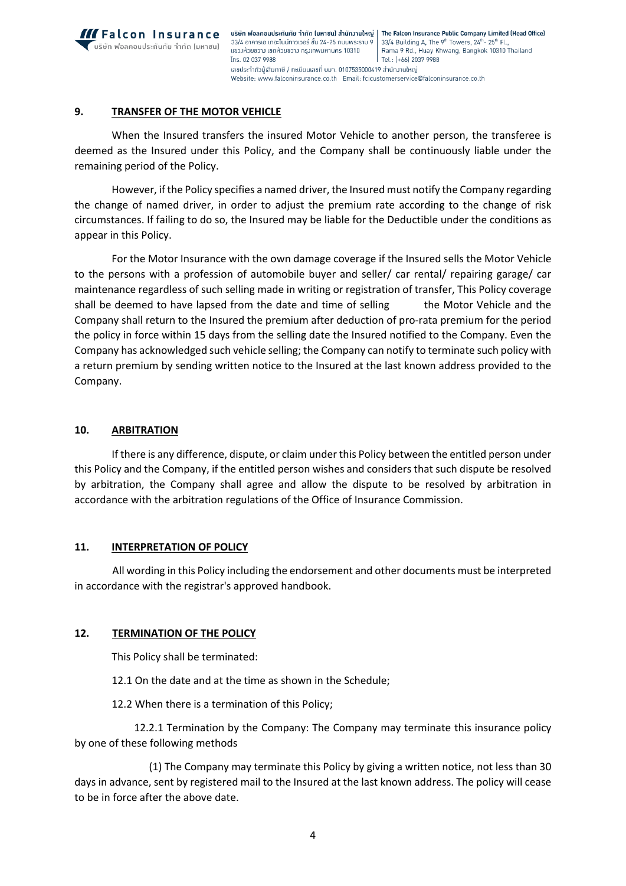

# **9. TRANSFER OF THE MOTOR VEHICLE**

When the Insured transfers the insured Motor Vehicle to another person, the transferee is deemed as the Insured under this Policy, and the Company shall be continuously liable under the remaining period of the Policy.

However, if the Policy specifies a named driver, the Insured must notify the Company regarding the change of named driver, in order to adjust the premium rate according to the change of risk circumstances. If failing to do so, the Insured may be liable for the Deductible under the conditions as appear in this Policy.

For the Motor Insurance with the own damage coverage if the Insured sells the Motor Vehicle to the persons with a profession of automobile buyer and seller/ car rental/ repairing garage/ car maintenance regardless of such selling made in writing or registration of transfer, This Policy coverage shall be deemed to have lapsed from the date and time of selling the Motor Vehicle and the Company shall return to the Insured the premium after deduction of pro-rata premium for the period the policy in force within 15 days from the selling date the Insured notified to the Company. Even the Company has acknowledged such vehicle selling; the Company can notify to terminate such policy with a return premium by sending written notice to the Insured at the last known address provided to the Company.

### **10. ARBITRATION**

If there is any difference, dispute, or claim under this Policy between the entitled person under this Policy and the Company, if the entitled person wishes and considers that such dispute be resolved by arbitration, the Company shall agree and allow the dispute to be resolved by arbitration in accordance with the arbitration regulations of the Office of Insurance Commission.

### **11. INTERPRETATION OF POLICY**

All wording in this Policy including the endorsement and other documents must be interpreted in accordance with the registrar's approved handbook.

### **12. TERMINATION OF THE POLICY**

This Policy shall be terminated:

12.1 On the date and at the time as shown in the Schedule;

12.2 When there is a termination of this Policy;

12.2.1 Termination by the Company: The Company may terminate this insurance policy by one of these following methods

(1) The Company may terminate this Policy by giving a written notice, not less than 30 days in advance, sent by registered mail to the Insured at the last known address. The policy will cease to be in force after the above date.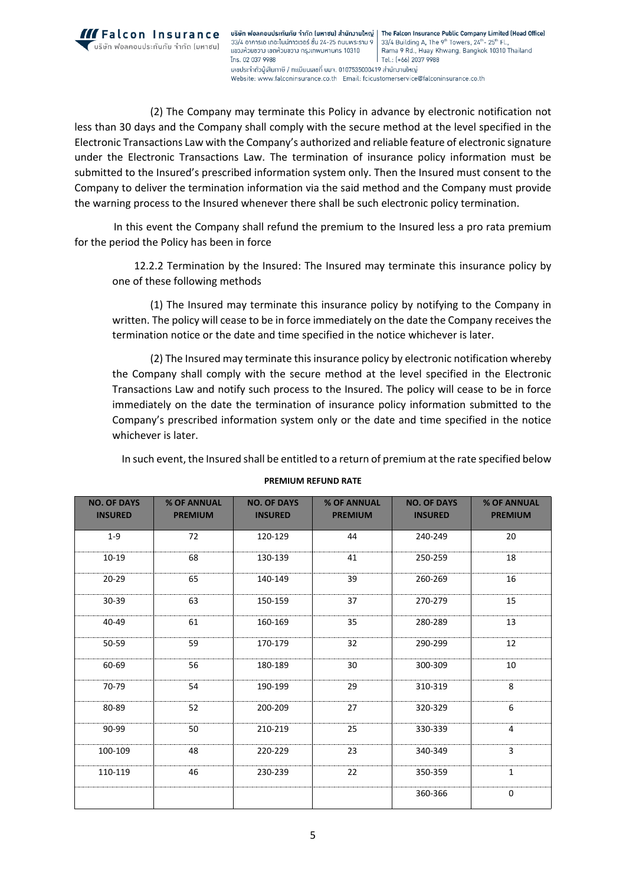

บริษัท ฟอลคอนประกันภัย จำกัด (มหาซน) สำนักงานใหญ่ | The Falcon Insurance Public Company Limited (Head Office) 33/4 อาคารเอ เดอะไนน์ทาวเวอร์ ชั้น 24-25 ถนนพระราม 9 33/4 Building A, The 9<sup>th</sup> Towers, 24<sup>th</sup>-25<sup>th</sup> Fl. แขวงห้วยขวาง เขตห้วยขวาง กรุงเทพมหานคร 10310 Rama 9 Rd., Huay Khwang, Bangkok 10310 Thailand Tns. 02 037 9988 Tel.: (+66) 2037 9988 ้เลขประจำตัวน้เสียภาษี / ทะเบียนเลขที่ บมจ. 0107535000419 สำนักงานใหญ่ Website: www.falconinsurance.co.th Email: fcicustomerservice@falconinsurance.co.th

(2) The Company may terminate this Policy in advance by electronic notification not less than 30 days and the Company shall comply with the secure method at the level specified in the Electronic Transactions Law with the Company's authorized and reliable feature of electronic signature under the Electronic Transactions Law. The termination of insurance policy information must be submitted to the Insured's prescribed information system only. Then the Insured must consent to the Company to deliver the termination information via the said method and the Company must provide the warning process to the Insured whenever there shall be such electronic policy termination.

 In this event the Company shall refund the premium to the Insured less a pro rata premium for the period the Policy has been in force

12.2.2 Termination by the Insured: The Insured may terminate this insurance policy by one of these following methods

(1) The Insured may terminate this insurance policy by notifying to the Company in written. The policy will cease to be in force immediately on the date the Company receives the termination notice or the date and time specified in the notice whichever is later.

(2) The Insured may terminate this insurance policy by electronic notification whereby the Company shall comply with the secure method at the level specified in the Electronic Transactions Law and notify such process to the Insured. The policy will cease to be in force immediately on the date the termination of insurance policy information submitted to the Company's prescribed information system only or the date and time specified in the notice whichever is later.

In such event, the Insured shall be entitled to a return of premium at the rate specified below

| <b>NO. OF DAYS</b><br><b>INSURED</b> | <b>% OF ANNUAL</b><br><b>PREMIUM</b> | <b>NO. OF DAYS</b><br><b>INSURED</b> | <b>% OF ANNUAL</b><br><b>PREMIUM</b> | <b>NO. OF DAYS</b><br><b>INSURED</b> | <b>% OF ANNUAL</b><br><b>PREMIUM</b> |
|--------------------------------------|--------------------------------------|--------------------------------------|--------------------------------------|--------------------------------------|--------------------------------------|
| $1 - 9$                              | 72                                   | 120-129                              | 44                                   | 240-249                              | 20                                   |
| $10 - 19$                            | 68                                   | 130-139                              | 41                                   | 250-259                              | 18                                   |
| $20 - 29$                            | 65                                   | 140-149                              | 39                                   | 260-269                              | 16                                   |
| 30-39                                | 63                                   | 150-159                              | 37                                   | 270-279                              | 15                                   |
| 40-49                                | 61                                   | 160-169                              | 35                                   | 280-289                              | 13                                   |
| 50-59                                | 59                                   | 170-179                              | 32                                   | 290-299                              | 12                                   |
| 60-69                                | 56                                   | 180-189                              | 30                                   | 300-309                              | 10                                   |
| 70-79                                | 54                                   | 190-199                              | 29                                   | 310-319                              | 8                                    |
| 80-89                                | 52                                   | 200-209                              | 27                                   | 320-329                              | 6                                    |
| 90-99                                | 50                                   | 210-219                              | 25                                   | 330-339                              | 4                                    |
| 100-109                              | 48                                   | 220-229                              | 23                                   | 340-349                              | 3                                    |
| 110-119                              | 46                                   | 230-239                              | 22                                   | 350-359                              | $\mathbf 1$                          |
|                                      |                                      |                                      |                                      | 360-366                              | 0                                    |

**PREMIUM REFUND RATE**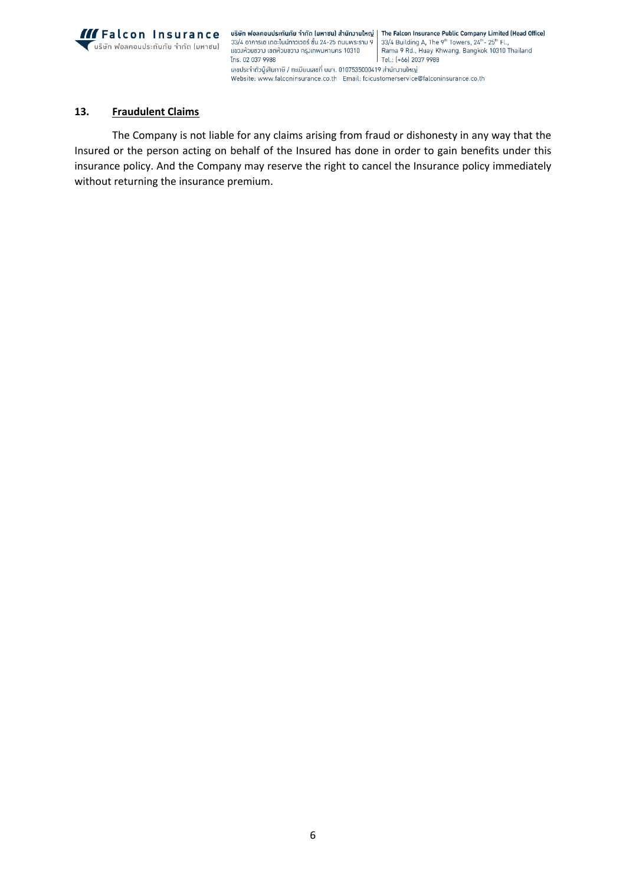

บริษัท ฟอลคอนประกันภัย จำกัด (มหาซน) สำนักงานใหญ่ | The Falcon Insurance Public Company Limited (Head Office) - รอยาการแห่งสองหาสิทธิ์ กำหนังสถานของสาราม 9<br>- 33/4 อาคารเอ เดอะไนน์ทาวเวอร์ ชั้น 24-25 ถนนพระราม 9  $33/4$  Building A, The 9<sup>th</sup> Towers,  $24<sup>th</sup> - 25<sup>th</sup>$  Fl., แขวงห้วยขวาง เขตห้วยขวาง กรุงเทพมหานคร 10310 Rama 9 Rd., Huay Khwang, Bangkok 10310 Thailand Tns. 02 037 9988 Tel.: (+66) 2037 9988 ้เลขประจำตัวผู้เสียภาษี / ทะเบียนเลขที่ บมา. 0107535000419 สำนักมานใหญ่ Website: www.falconinsurance.co.th Email: fcicustomerservice@falconinsurance.co.th

# **13. Fraudulent Claims**

The Company is not liable for any claims arising from fraud or dishonesty in any way that the Insured or the person acting on behalf of the Insured has done in order to gain benefits under this insurance policy. And the Company may reserve the right to cancel the Insurance policy immediately without returning the insurance premium.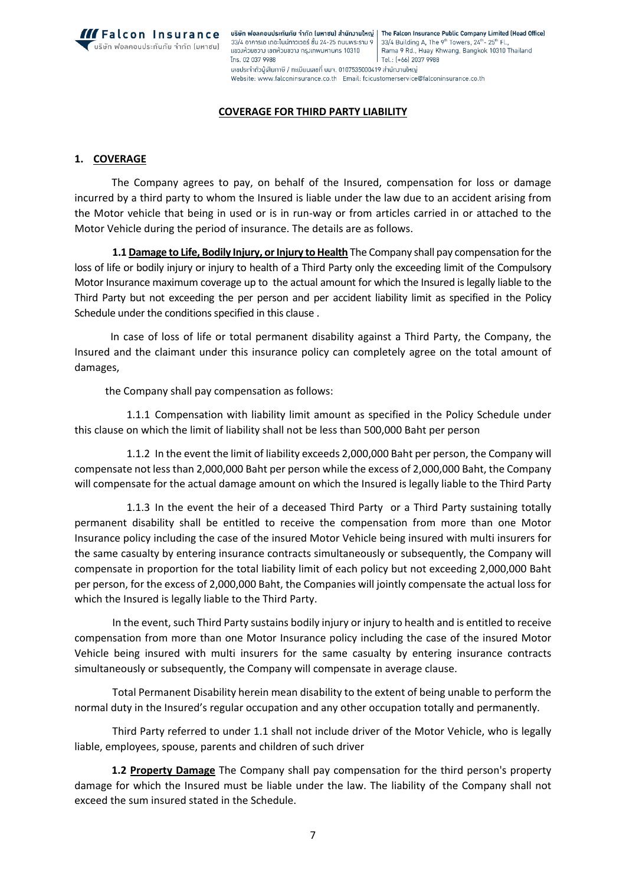

บริษัท ฟอลคอนประกันภัย จำกัด (มหาซน) สำนักงานใหญ่ | The Falcon Insurance Public Company Limited (Head Office) 33/4 อาคารเอ เดอะไนน์ทาวเวอร์ ชั้น 24-25 ถนนพระราม 9 33/4 Building A, The 9<sup>th</sup> Towers, 24<sup>th</sup>-25<sup>th</sup> Fl. Rama 9 Rd., Huay Khwang, Bangkok 10310 Thailand แขวงห้วยขวาง เขตห้วยขวาง กรุงเทพมหานคร 10310 Tns. 02 037 9988 Tel.: (+66) 2037 9988 ้เลขประจำตัวน้เสียภาษี / ทะเบียนเลขที่ บมจ. 0107535000419 สำนักงานใหญ่ Website: www.falconinsurance.co.th Email: fcicustomerservice@falconinsurance.co.th

#### **COVERAGE FOR THIRD PARTY LIABILITY**

### **1. COVERAGE**

The Company agrees to pay, on behalf of the Insured, compensation for loss or damage incurred by a third party to whom the Insured is liable under the law due to an accident arising from the Motor vehicle that being in used or is in run-way or from articles carried in or attached to the Motor Vehicle during the period of insurance. The details are as follows.

**1.1 Damage to Life, Bodily Injury, or Injury to Health** The Company shall pay compensation for the loss of life or bodily injury or injury to health of a Third Party only the exceeding limit of the Compulsory Motor Insurance maximum coverage up to the actual amount for which the Insured is legally liable to the Third Party but not exceeding the per person and per accident liability limit as specified in the Policy Schedule under the conditions specified in this clause .

 In case of loss of life or total permanent disability against a Third Party, the Company, the Insured and the claimant under this insurance policy can completely agree on the total amount of damages,

the Company shall pay compensation as follows:

1.1.1 Compensation with liability limit amount as specified in the Policy Schedule under this clause on which the limit of liability shall not be less than 500,000 Baht per person

1.1.2 In the event the limit of liability exceeds 2,000,000 Baht per person, the Company will compensate not less than 2,000,000 Baht per person while the excess of 2,000,000 Baht, the Company will compensate for the actual damage amount on which the Insured is legally liable to the Third Party

1.1.3 In the event the heir of a deceased Third Party or a Third Party sustaining totally permanent disability shall be entitled to receive the compensation from more than one Motor Insurance policy including the case of the insured Motor Vehicle being insured with multi insurers for the same casualty by entering insurance contracts simultaneously or subsequently, the Company will compensate in proportion for the total liability limit of each policy but not exceeding 2,000,000 Baht per person, for the excess of 2,000,000 Baht, the Companies will jointly compensate the actual loss for which the Insured is legally liable to the Third Party.

In the event, such Third Party sustains bodily injury or injury to health and is entitled to receive compensation from more than one Motor Insurance policy including the case of the insured Motor Vehicle being insured with multi insurers for the same casualty by entering insurance contracts simultaneously or subsequently, the Company will compensate in average clause.

Total Permanent Disability herein mean disability to the extent of being unable to perform the normal duty in the Insured's regular occupation and any other occupation totally and permanently.

Third Party referred to under 1.1 shall not include driver of the Motor Vehicle, who is legally liable, employees, spouse, parents and children of such driver

**1.2 Property Damage** The Company shall pay compensation for the third person's property damage for which the Insured must be liable under the law. The liability of the Company shall not exceed the sum insured stated in the Schedule.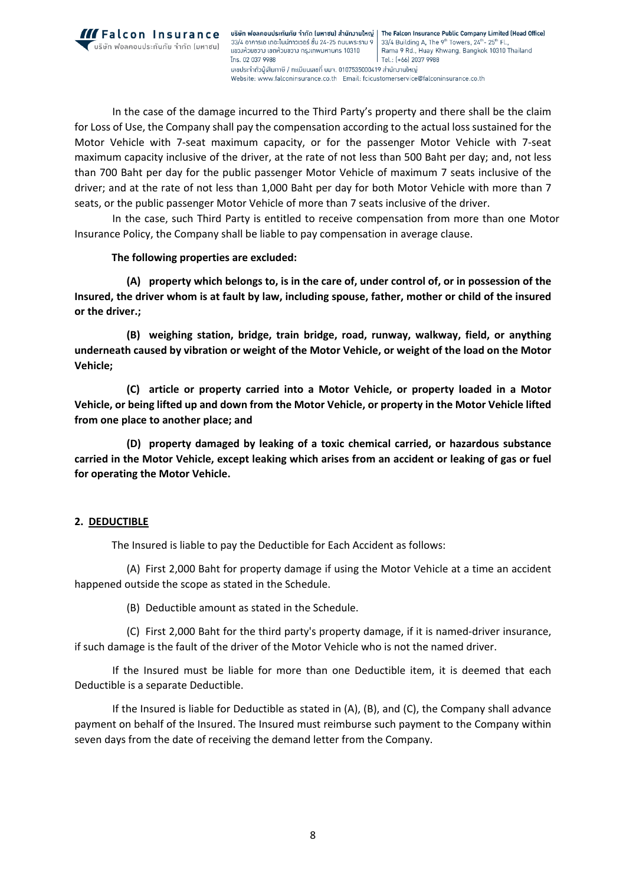

บริษัท ฟอลคอนประกันภัย จำกัด (มหาซน) สำนักงานใหญ่ | The Falcon Insurance Public Company Limited (Head Office) 33/4 อาคารเอ เดอะไนน์ทาวเวอร์ ชั้น 24-25 ถนนพระราม 9 33/4 Building A, The 9<sup>th</sup> Towers, 24<sup>th</sup>-25<sup>th</sup> Fl. แขวงห้วยขวาง เขตห้วยขวาง กรุงเทพมหานคร 10310 Rama 9 Rd., Huay Khwang, Bangkok 10310 Thailand Tns. 02 037 9988 Tel.: (+66) 2037 9988 ้ เลขประจำตัวผู้เสียภาษี / ทะเมียนเลขที่ มมจ. 0107535000419 สำนักมานใหญ่ Website: www.falconinsurance.co.th Email: fcicustomerservice@falconinsurance.co.th

 In the case of the damage incurred to the Third Party's property and there shall be the claim for Loss of Use, the Company shall pay the compensation according to the actual loss sustained for the Motor Vehicle with 7-seat maximum capacity, or for the passenger Motor Vehicle with 7-seat maximum capacity inclusive of the driver, at the rate of not less than 500 Baht per day; and, not less than 700 Baht per day for the public passenger Motor Vehicle of maximum 7 seats inclusive of the driver; and at the rate of not less than 1,000 Baht per day for both Motor Vehicle with more than 7 seats, or the public passenger Motor Vehicle of more than 7 seats inclusive of the driver.

 In the case, such Third Party is entitled to receive compensation from more than one Motor Insurance Policy, the Company shall be liable to pay compensation in average clause.

### **The following properties are excluded:**

**(A) property which belongs to, is in the care of, under control of, or in possession of the Insured, the driver whom is at fault by law, including spouse, father, mother or child of the insured or the driver.;**

**(B) weighing station, bridge, train bridge, road, runway, walkway, field, or anything underneath caused by vibration or weight of the Motor Vehicle, or weight of the load on the Motor Vehicle;**

**(C) article or property carried into a Motor Vehicle, or property loaded in a Motor Vehicle, or being lifted up and down from the Motor Vehicle, or property in the Motor Vehicle lifted from one place to another place; and**

**(D) property damaged by leaking of a toxic chemical carried, or hazardous substance carried in the Motor Vehicle, except leaking which arises from an accident or leaking of gas or fuel for operating the Motor Vehicle.**

# **2. DEDUCTIBLE**

The Insured is liable to pay the Deductible for Each Accident as follows:

(A) First 2,000 Baht for property damage if using the Motor Vehicle at a time an accident happened outside the scope as stated in the Schedule.

(B) Deductible amount as stated in the Schedule.

(C) First 2,000 Baht for the third party's property damage, if it is named-driver insurance, if such damage is the fault of the driver of the Motor Vehicle who is not the named driver.

If the Insured must be liable for more than one Deductible item, it is deemed that each Deductible is a separate Deductible.

If the Insured is liable for Deductible as stated in (A), (B), and (C), the Company shall advance payment on behalf of the Insured. The Insured must reimburse such payment to the Company within seven days from the date of receiving the demand letter from the Company.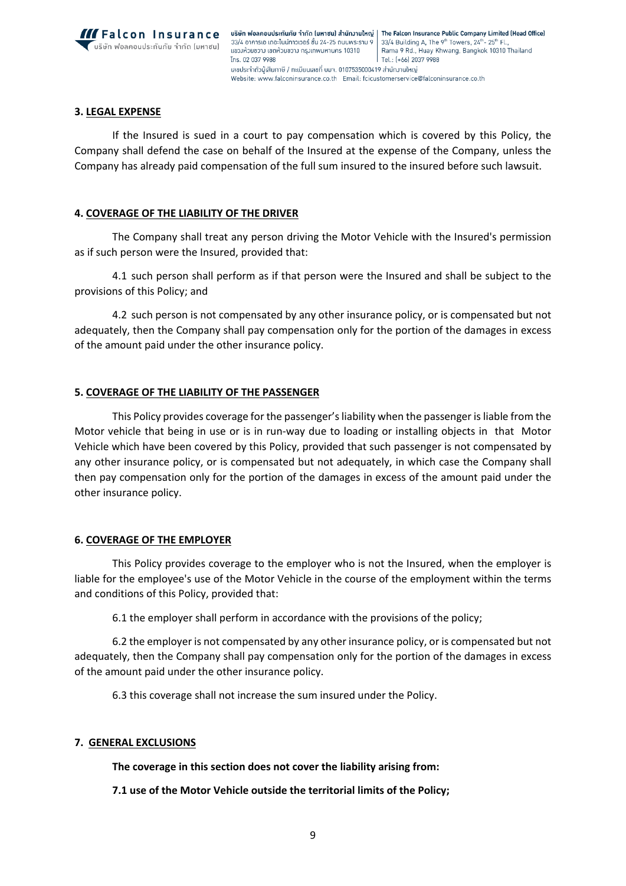

## **3. LEGAL EXPENSE**

If the Insured is sued in a court to pay compensation which is covered by this Policy, the Company shall defend the case on behalf of the Insured at the expense of the Company, unless the Company has already paid compensation of the full sum insured to the insured before such lawsuit.

### **4. COVERAGE OF THE LIABILITY OF THE DRIVER**

The Company shall treat any person driving the Motor Vehicle with the Insured's permission as if such person were the Insured, provided that:

4.1 such person shall perform as if that person were the Insured and shall be subject to the provisions of this Policy; and

4.2 such person is not compensated by any other insurance policy, or is compensated but not adequately, then the Company shall pay compensation only for the portion of the damages in excess of the amount paid under the other insurance policy.

### **5. COVERAGE OF THE LIABILITY OF THE PASSENGER**

This Policy provides coverage for the passenger's liability when the passenger is liable from the Motor vehicle that being in use or is in run-way due to loading or installing objects in that Motor Vehicle which have been covered by this Policy, provided that such passenger is not compensated by any other insurance policy, or is compensated but not adequately, in which case the Company shall then pay compensation only for the portion of the damages in excess of the amount paid under the other insurance policy.

### **6. COVERAGE OF THE EMPLOYER**

This Policy provides coverage to the employer who is not the Insured, when the employer is liable for the employee's use of the Motor Vehicle in the course of the employment within the terms and conditions of this Policy, provided that:

6.1 the employer shall perform in accordance with the provisions of the policy;

6.2 the employer is not compensated by any other insurance policy, or is compensated but not adequately, then the Company shall pay compensation only for the portion of the damages in excess of the amount paid under the other insurance policy.

6.3 this coverage shall not increase the sum insured under the Policy.

#### **7. GENERAL EXCLUSIONS**

**The coverage in this section does not cover the liability arising from:**

**7.1 use of the Motor Vehicle outside the territorial limits of the Policy;**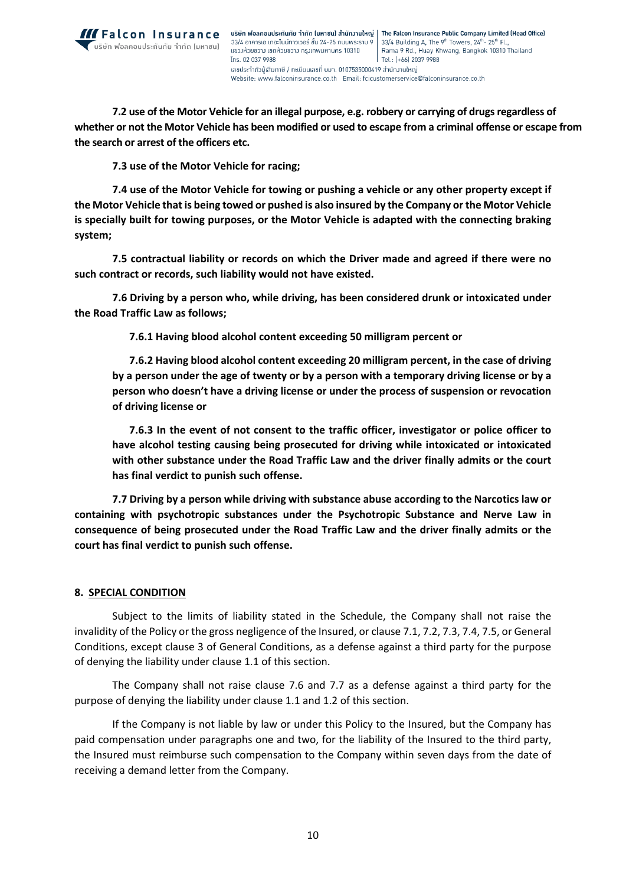

**7.2 use of the Motor Vehicle for an illegal purpose, e.g. robbery or carrying of drugs regardless of whether or not the Motor Vehicle has been modified or used to escape from a criminal offense or escape from the search or arrest of the officers etc.**

**7.3 use of the Motor Vehicle for racing;**

**7.4 use of the Motor Vehicle for towing or pushing a vehicle or any other property except if the Motor Vehicle that is being towed or pushed is also insured by the Company or the Motor Vehicle is specially built for towing purposes, or the Motor Vehicle is adapted with the connecting braking system;**

**7.5 contractual liability or records on which the Driver made and agreed if there were no such contract or records, such liability would not have existed.**

**7.6 Driving by a person who, while driving, has been considered drunk or intoxicated under the Road Traffic Law as follows;**

 **7.6.1 Having blood alcohol content exceeding 50 milligram percent or** 

 **7.6.2 Having blood alcohol content exceeding 20 milligram percent, in the case of driving by a person under the age of twenty or by a person with a temporary driving license or by a person who doesn't have a driving license or under the process of suspension or revocation of driving license or** 

 **7.6.3 In the event of not consent to the traffic officer, investigator or police officer to have alcohol testing causing being prosecuted for driving while intoxicated or intoxicated with other substance under the Road Traffic Law and the driver finally admits or the court has final verdict to punish such offense.**

 **7.7 Driving by a person while driving with substance abuse according to the Narcotics law or containing with psychotropic substances under the Psychotropic Substance and Nerve Law in consequence of being prosecuted under the Road Traffic Law and the driver finally admits or the court has final verdict to punish such offense.**

### **8. SPECIAL CONDITION**

Subject to the limits of liability stated in the Schedule, the Company shall not raise the invalidity of the Policy or the gross negligence of the Insured, or clause 7.1, 7.2, 7.3, 7.4, 7.5, or General Conditions, except clause 3 of General Conditions, as a defense against a third party for the purpose of denying the liability under clause 1.1 of this section.

The Company shall not raise clause 7.6 and 7.7 as a defense against a third party for the purpose of denying the liability under clause 1.1 and 1.2 of this section.

If the Company is not liable by law or under this Policy to the Insured, but the Company has paid compensation under paragraphs one and two, for the liability of the Insured to the third party, the Insured must reimburse such compensation to the Company within seven days from the date of receiving a demand letter from the Company.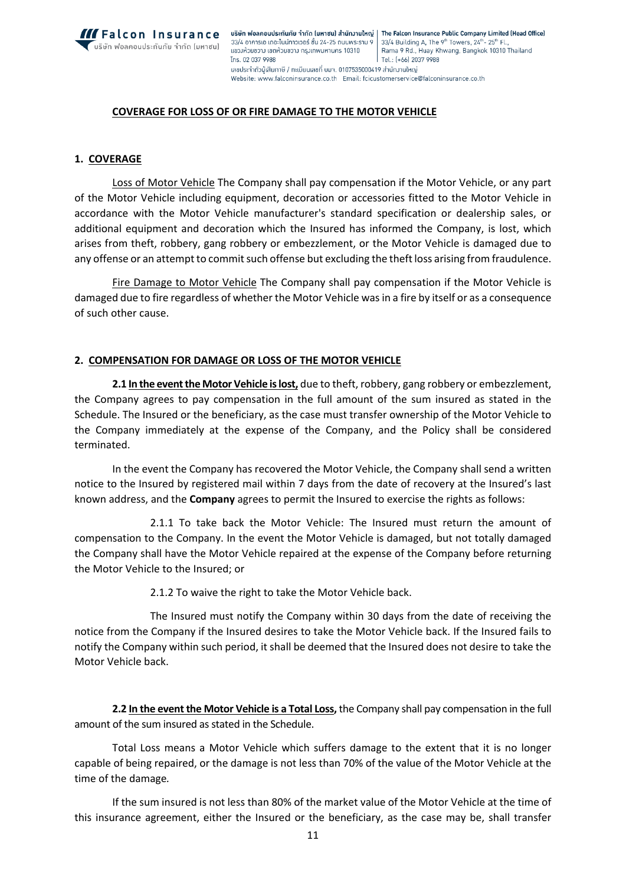

### **COVERAGE FOR LOSS OF OR FIRE DAMAGE TO THE MOTOR VEHICLE**

#### **1. COVERAGE**

Loss of Motor Vehicle The Company shall pay compensation if the Motor Vehicle, or any part of the Motor Vehicle including equipment, decoration or accessories fitted to the Motor Vehicle in accordance with the Motor Vehicle manufacturer's standard specification or dealership sales, or additional equipment and decoration which the Insured has informed the Company, is lost, which arises from theft, robbery, gang robbery or embezzlement, or the Motor Vehicle is damaged due to any offense or an attempt to commit such offense but excluding the theft loss arising from fraudulence.

Fire Damage to Motor Vehicle The Company shall pay compensation if the Motor Vehicle is damaged due to fire regardless of whether the Motor Vehicle was in a fire by itself or as a consequence of such other cause.

#### **2. COMPENSATION FOR DAMAGE OR LOSS OF THE MOTOR VEHICLE**

**2.1 In the event the Motor Vehicle is lost,** due to theft, robbery, gang robbery or embezzlement, the Company agrees to pay compensation in the full amount of the sum insured as stated in the Schedule. The Insured or the beneficiary, as the case must transfer ownership of the Motor Vehicle to the Company immediately at the expense of the Company, and the Policy shall be considered terminated.

In the event the Company has recovered the Motor Vehicle, the Company shall send a written notice to the Insured by registered mail within 7 days from the date of recovery at the Insured's last known address, and the **Company** agrees to permit the Insured to exercise the rights as follows:

2.1.1 To take back the Motor Vehicle: The Insured must return the amount of compensation to the Company. In the event the Motor Vehicle is damaged, but not totally damaged the Company shall have the Motor Vehicle repaired at the expense of the Company before returning the Motor Vehicle to the Insured; or

2.1.2 To waive the right to take the Motor Vehicle back.

The Insured must notify the Company within 30 days from the date of receiving the notice from the Company if the Insured desires to take the Motor Vehicle back. If the Insured fails to notify the Company within such period, it shall be deemed that the Insured does not desire to take the Motor Vehicle back.

**2.2 In the event the Motor Vehicle is a Total Loss,** the Company shall pay compensation in the full amount of the sum insured as stated in the Schedule.

Total Loss means a Motor Vehicle which suffers damage to the extent that it is no longer capable of being repaired, or the damage is not less than 70% of the value of the Motor Vehicle at the time of the damage*.*

If the sum insured is not less than 80% of the market value of the Motor Vehicle at the time of this insurance agreement, either the Insured or the beneficiary, as the case may be, shall transfer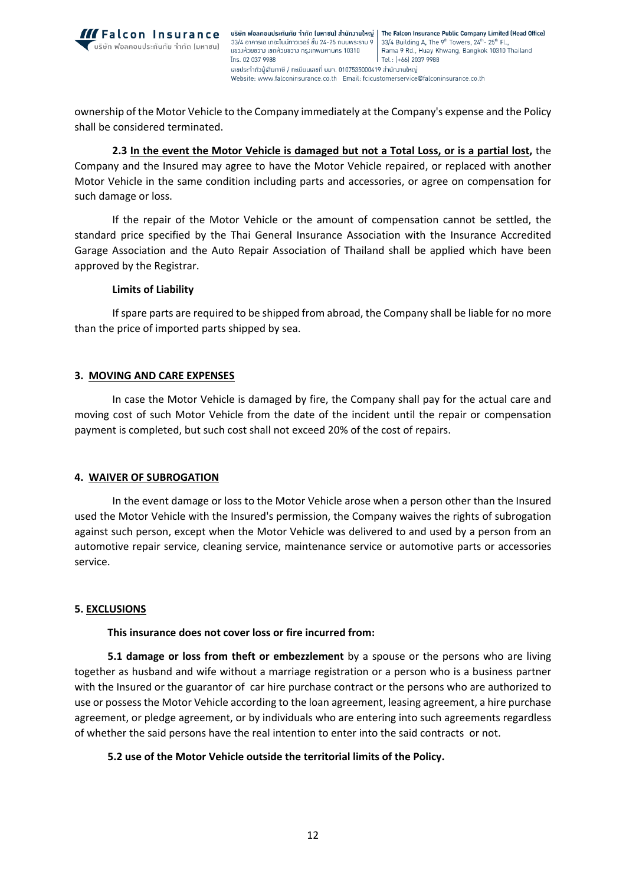

ownership of the Motor Vehicle to the Company immediately at the Company's expense and the Policy shall be considered terminated.

**2.3 In the event the Motor Vehicle is damaged but not a Total Loss, or is a partial lost,** the Company and the Insured may agree to have the Motor Vehicle repaired, or replaced with another Motor Vehicle in the same condition including parts and accessories, or agree on compensation for such damage or loss.

If the repair of the Motor Vehicle or the amount of compensation cannot be settled, the standard price specified by the Thai General Insurance Association with the Insurance Accredited Garage Association and the Auto Repair Association of Thailand shall be applied which have been approved by the Registrar.

### **Limits of Liability**

If spare parts are required to be shipped from abroad, the Company shall be liable for no more than the price of imported parts shipped by sea.

# **3. MOVING AND CARE EXPENSES**

In case the Motor Vehicle is damaged by fire, the Company shall pay for the actual care and moving cost of such Motor Vehicle from the date of the incident until the repair or compensation payment is completed, but such cost shall not exceed 20% of the cost of repairs.

# **4. WAIVER OF SUBROGATION**

In the event damage or loss to the Motor Vehicle arose when a person other than the Insured used the Motor Vehicle with the Insured's permission, the Company waives the rights of subrogation against such person, except when the Motor Vehicle was delivered to and used by a person from an automotive repair service, cleaning service, maintenance service or automotive parts or accessories service.

### **5. EXCLUSIONS**

### **This insurance does not cover loss or fire incurred from:**

**5.1 damage or loss from theft or embezzlement** by a spouse or the persons who are living together as husband and wife without a marriage registration or a person who is a business partner with the Insured or the guarantor of car hire purchase contract or the persons who are authorized to use or possess the Motor Vehicle according to the loan agreement, leasing agreement, a hire purchase agreement, or pledge agreement, or by individuals who are entering into such agreements regardless of whether the said persons have the real intention to enter into the said contracts or not.

# **5.2 use of the Motor Vehicle outside the territorial limits of the Policy.**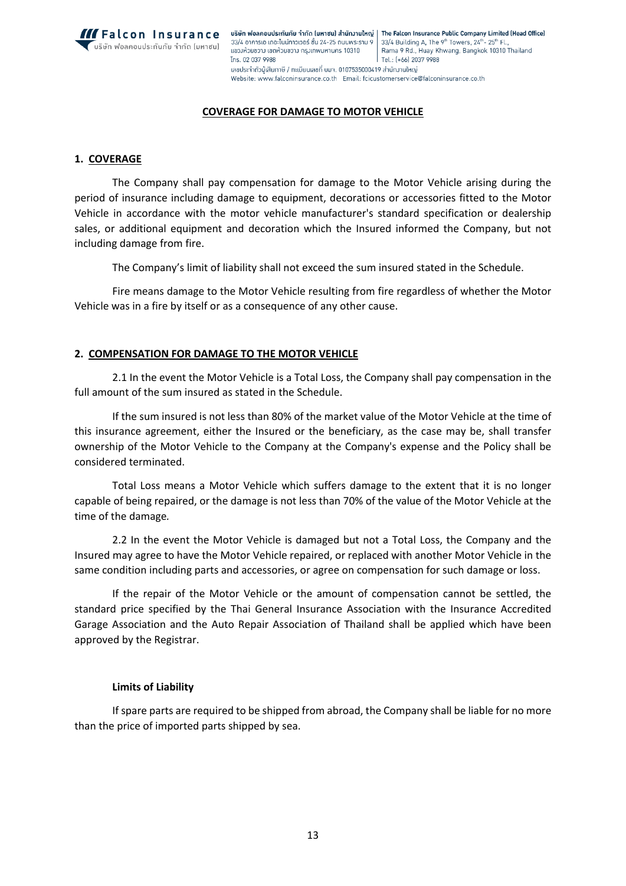

**IFALCON INSUFANCE** USBEN WOANDULS: ทันภัย จำกัด (มหาชน) สำนักงานใหญ่ | The Falcon Insurance Public Company Limited (Head Office) 33/4 อาคารเอ เดอะไนน์ทาวเวอร์ ชั้น 24-25 ถนนพระราม 9 33/4 Building A, The 9<sup>th</sup> Towers, 24<sup>th</sup>-25<sup>th</sup> Fl. Rama 9 Rd., Huay Khwang, Bangkok 10310 Thailand แขวงห้วยขวาง เขตห้วยขวาง กรุงเทพมหานคร 10310 Tns. 02 037 9988 Tel.: (+66) 2037 9988 ้เลขประจำตัวผู้เสียภาษี / ทะเบียนเลขที่ บมา. 0107535000419 สำนักมานใหญ่ Website: www.falconinsurance.co.th Email: fcicustomerservice@falconinsurance.co.th

### **COVERAGE FOR DAMAGE TO MOTOR VEHICLE**

## **1. COVERAGE**

The Company shall pay compensation for damage to the Motor Vehicle arising during the period of insurance including damage to equipment, decorations or accessories fitted to the Motor Vehicle in accordance with the motor vehicle manufacturer's standard specification or dealership sales, or additional equipment and decoration which the Insured informed the Company, but not including damage from fire.

The Company's limit of liability shall not exceed the sum insured stated in the Schedule.

Fire means damage to the Motor Vehicle resulting from fire regardless of whether the Motor Vehicle was in a fire by itself or as a consequence of any other cause.

# **2. COMPENSATION FOR DAMAGE TO THE MOTOR VEHICLE**

2.1 In the event the Motor Vehicle is a Total Loss, the Company shall pay compensation in the full amount of the sum insured as stated in the Schedule.

If the sum insured is not less than 80% of the market value of the Motor Vehicle at the time of this insurance agreement, either the Insured or the beneficiary, as the case may be, shall transfer ownership of the Motor Vehicle to the Company at the Company's expense and the Policy shall be considered terminated.

Total Loss means a Motor Vehicle which suffers damage to the extent that it is no longer capable of being repaired, or the damage is not less than 70% of the value of the Motor Vehicle at the time of the damage*.*

2.2 In the event the Motor Vehicle is damaged but not a Total Loss, the Company and the Insured may agree to have the Motor Vehicle repaired, or replaced with another Motor Vehicle in the same condition including parts and accessories, or agree on compensation for such damage or loss.

If the repair of the Motor Vehicle or the amount of compensation cannot be settled, the standard price specified by the Thai General Insurance Association with the Insurance Accredited Garage Association and the Auto Repair Association of Thailand shall be applied which have been approved by the Registrar.

### **Limits of Liability**

If spare parts are required to be shipped from abroad, the Company shall be liable for no more than the price of imported parts shipped by sea.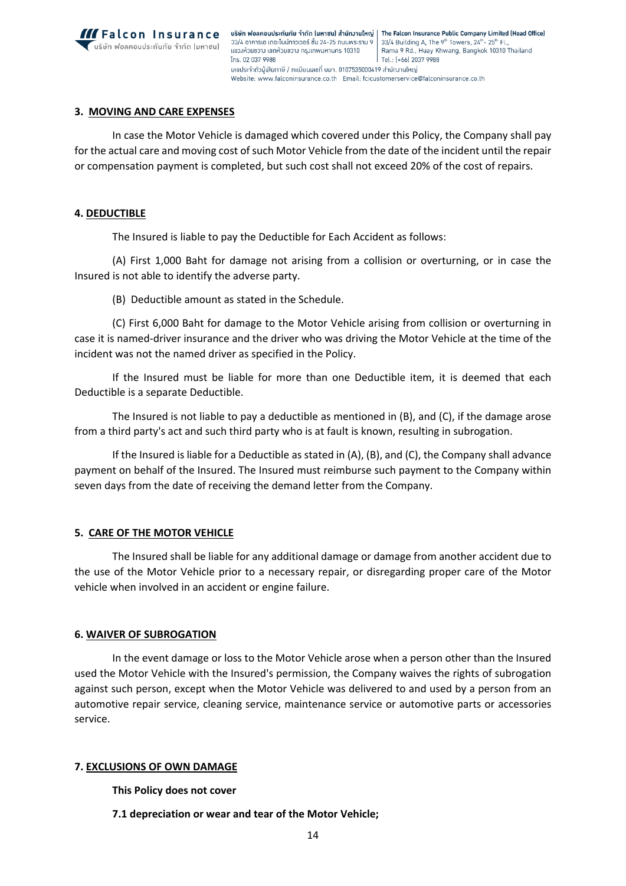

### **3. MOVING AND CARE EXPENSES**

In case the Motor Vehicle is damaged which covered under this Policy, the Company shall pay for the actual care and moving cost of such Motor Vehicle from the date of the incident until the repair or compensation payment is completed, but such cost shall not exceed 20% of the cost of repairs.

#### **4. DEDUCTIBLE**

The Insured is liable to pay the Deductible for Each Accident as follows:

(A) First 1,000 Baht for damage not arising from a collision or overturning, or in case the Insured is not able to identify the adverse party.

(B) Deductible amount as stated in the Schedule.

(C) First 6,000 Baht for damage to the Motor Vehicle arising from collision or overturning in case it is named-driver insurance and the driver who was driving the Motor Vehicle at the time of the incident was not the named driver as specified in the Policy.

If the Insured must be liable for more than one Deductible item, it is deemed that each Deductible is a separate Deductible.

The Insured is not liable to pay a deductible as mentioned in (B), and (C), if the damage arose from a third party's act and such third party who is at fault is known, resulting in subrogation.

If the Insured is liable for a Deductible as stated in (A), (B), and (C), the Company shall advance payment on behalf of the Insured. The Insured must reimburse such payment to the Company within seven days from the date of receiving the demand letter from the Company.

#### **5. CARE OF THE MOTOR VEHICLE**

The Insured shall be liable for any additional damage or damage from another accident due to the use of the Motor Vehicle prior to a necessary repair, or disregarding proper care of the Motor vehicle when involved in an accident or engine failure.

#### **6. WAIVER OF SUBROGATION**

In the event damage or loss to the Motor Vehicle arose when a person other than the Insured used the Motor Vehicle with the Insured's permission, the Company waives the rights of subrogation against such person, except when the Motor Vehicle was delivered to and used by a person from an automotive repair service, cleaning service, maintenance service or automotive parts or accessories service.

### **7. EXCLUSIONS OF OWN DAMAGE**

**This Policy does not cover**

**7.1 depreciation or wear and tear of the Motor Vehicle;**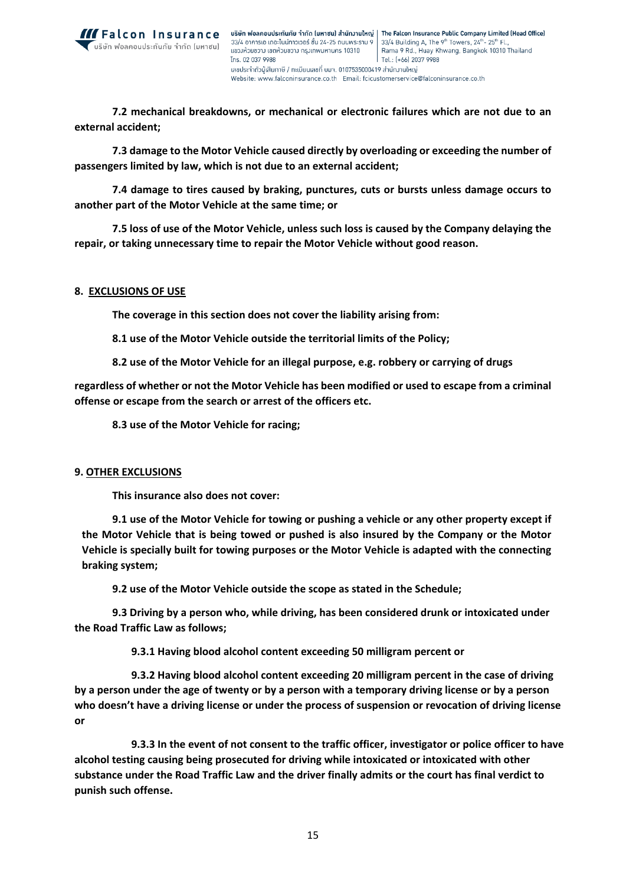

**7.2 mechanical breakdowns, or mechanical or electronic failures which are not due to an external accident;**

**7.3 damage to the Motor Vehicle caused directly by overloading or exceeding the number of passengers limited by law, which is not due to an external accident;**

**7.4 damage to tires caused by braking, punctures, cuts or bursts unless damage occurs to another part of the Motor Vehicle at the same time; or**

**7.5 loss of use of the Motor Vehicle, unless such loss is caused by the Company delaying the repair, or taking unnecessary time to repair the Motor Vehicle without good reason.**

#### **8. EXCLUSIONS OF USE**

**The coverage in this section does not cover the liability arising from:**

**8.1 use of the Motor Vehicle outside the territorial limits of the Policy;**

**8.2 use of the Motor Vehicle for an illegal purpose, e.g. robbery or carrying of drugs**

**regardless of whether or not the Motor Vehicle has been modified or used to escape from a criminal offense or escape from the search or arrest of the officers etc.**

**8.3 use of the Motor Vehicle for racing;**

#### **9. OTHER EXCLUSIONS**

**This insurance also does not cover:**

**9.1 use of the Motor Vehicle for towing or pushing a vehicle or any other property except if the Motor Vehicle that is being towed or pushed is also insured by the Company or the Motor Vehicle is specially built for towing purposes or the Motor Vehicle is adapted with the connecting braking system;**

**9.2 use of the Motor Vehicle outside the scope as stated in the Schedule;**

**9.3 Driving by a person who, while driving, has been considered drunk or intoxicated under the Road Traffic Law as follows;**

**9.3.1 Having blood alcohol content exceeding 50 milligram percent or** 

**9.3.2 Having blood alcohol content exceeding 20 milligram percent in the case of driving by a person under the age of twenty or by a person with a temporary driving license or by a person who doesn't have a driving license or under the process of suspension or revocation of driving license or** 

**9.3.3 In the event of not consent to the traffic officer, investigator or police officer to have alcohol testing causing being prosecuted for driving while intoxicated or intoxicated with other substance under the Road Traffic Law and the driver finally admits or the court has final verdict to punish such offense.**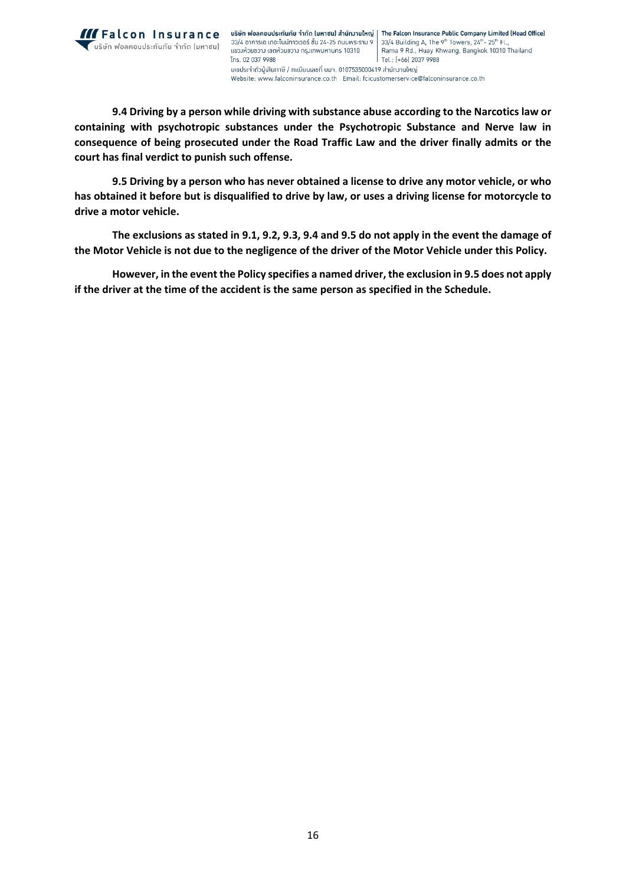

**9.4 Driving by a person while driving with substance abuse according to the Narcotics law or containing with psychotropic substances under the Psychotropic Substance and Nerve law in consequence of being prosecuted under the Road Traffic Law and the driver finally admits or the court has final verdict to punish such offense.**

**9.5 Driving by a person who has never obtained a license to drive any motor vehicle, or who has obtained it before but is disqualified to drive by law, or uses a driving license for motorcycle to drive a motor vehicle.**

**The exclusions as stated in 9.1, 9.2, 9.3, 9.4 and 9.5 do not apply in the event the damage of the Motor Vehicle is not due to the negligence of the driver of the Motor Vehicle under this Policy.** 

**However, in the event the Policy specifies a named driver, the exclusion in 9.5 does not apply if the driver at the time of the accident is the same person as specified in the Schedule.**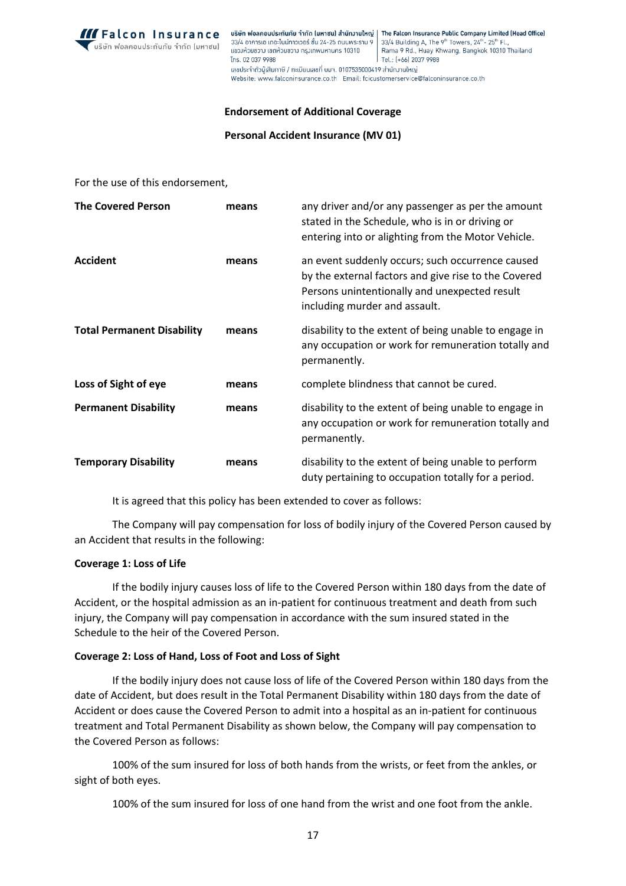

**IFALCON INSUFANCE** USBN WOANDULSERING (UMTOL) AND THE Falcon Insurance Public Company Limited (Head Office) 33/4 อาคารเอ เดอะไนน์ทาวเวอร์ ชั้น 24-25 ถนนพระราม 9 33/4 Building A, The 9<sup>th</sup> Towers, 24<sup>th</sup>-25<sup>th</sup> Fl., Rama 9 Rd., Huay Khwang, Bangkok 10310 Thailand แขวงห้วยขวาง เขตห้วยขวาง กรุงเทพมหานคร 10310 Tns. 02 037 9988 Tel.: (+66) 2037 9988 ้เลขประจำตัวผู้เสียภาษี / ทะเบียนเลขที่ บมา. 0107535000419 สำนักมานใหญ่ Website: www.falconinsurance.co.th Email: fcicustomerservice@falconinsurance.co.th

#### **Endorsement of Additional Coverage**

**Personal Accident Insurance (MV 01)**

For the use of this endorsement,

| <b>The Covered Person</b>         | means | any driver and/or any passenger as per the amount<br>stated in the Schedule, who is in or driving or<br>entering into or alighting from the Motor Vehicle.                                 |
|-----------------------------------|-------|--------------------------------------------------------------------------------------------------------------------------------------------------------------------------------------------|
| <b>Accident</b>                   | means | an event suddenly occurs; such occurrence caused<br>by the external factors and give rise to the Covered<br>Persons unintentionally and unexpected result<br>including murder and assault. |
| <b>Total Permanent Disability</b> | means | disability to the extent of being unable to engage in<br>any occupation or work for remuneration totally and<br>permanently.                                                               |
| Loss of Sight of eye              | means | complete blindness that cannot be cured.                                                                                                                                                   |
| <b>Permanent Disability</b>       | means | disability to the extent of being unable to engage in<br>any occupation or work for remuneration totally and<br>permanently.                                                               |
| <b>Temporary Disability</b>       | means | disability to the extent of being unable to perform<br>duty pertaining to occupation totally for a period.                                                                                 |

It is agreed that this policy has been extended to cover as follows:

The Company will pay compensation for loss of bodily injury of the Covered Person caused by an Accident that results in the following:

### **Coverage 1: Loss of Life**

If the bodily injury causes loss of life to the Covered Person within 180 days from the date of Accident, or the hospital admission as an in-patient for continuous treatment and death from such injury, the Company will pay compensation in accordance with the sum insured stated in the Schedule to the heir of the Covered Person.

### **Coverage 2: Loss of Hand, Loss of Foot and Loss of Sight**

If the bodily injury does not cause loss of life of the Covered Person within 180 days from the date of Accident, but does result in the Total Permanent Disability within 180 days from the date of Accident or does cause the Covered Person to admit into a hospital as an in-patient for continuous treatment and Total Permanent Disability as shown below, the Company will pay compensation to the Covered Person as follows:

100% of the sum insured for loss of both hands from the wrists, or feet from the ankles, or sight of both eyes.

100% of the sum insured for loss of one hand from the wrist and one foot from the ankle.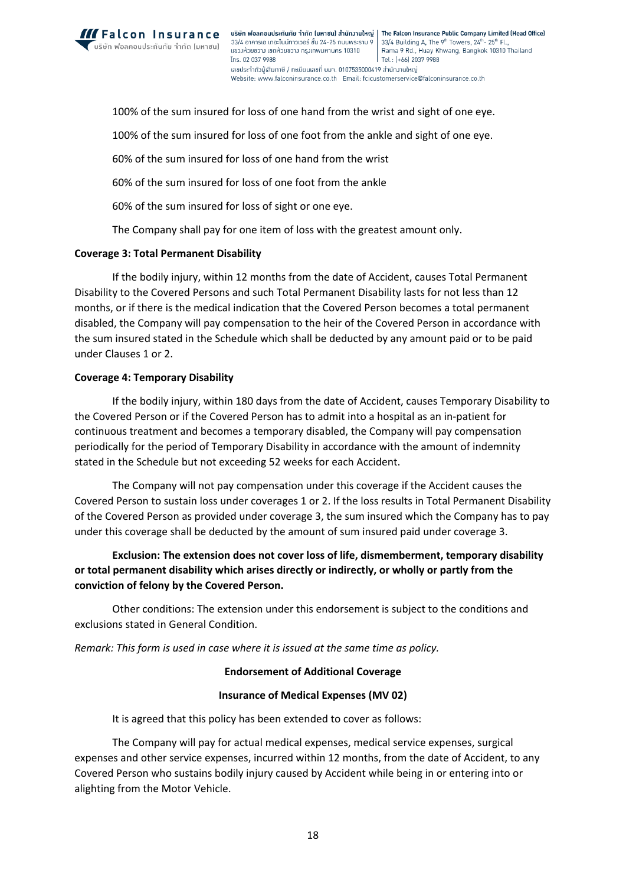

**IFALCON INSUFANCE** USBEN WOANDULS: ทันภัย จำกัด (มหาชน) สำนักงานใหญ่ | The Falcon Insurance Public Company Limited (Head Office) 33/4 อาคารเอ เดอะไนน์ทาวเวอร์ ชั้น 24-25 ถนนพระราม 9 33/4 Building A, The 9<sup>th</sup> Towers, 24<sup>th</sup>-25<sup>th</sup> Fl. Rama 9 Rd., Huay Khwang, Bangkok 10310 Thailand แขวงห้วยขวาง เขตห้วยขวาง กรุงเทพมหานคร 10310 Tns. 02 037 9988 Tel.: (+66) 2037 9988 ้ เลขประจำตัวผู้เสียภาษี / ทะเมียนเลขที่ มมจ. 0107535000419 สำนักมานใหญ่ Website: www.falconinsurance.co.th Email: fcicustomerservice@falconinsurance.co.th

100% of the sum insured for loss of one hand from the wrist and sight of one eye. 100% of the sum insured for loss of one foot from the ankle and sight of one eye. 60% of the sum insured for loss of one hand from the wrist 60% of the sum insured for loss of one foot from the ankle

60% of the sum insured for loss of sight or one eye.

The Company shall pay for one item of loss with the greatest amount only.

### **Coverage 3: Total Permanent Disability**

If the bodily injury, within 12 months from the date of Accident, causes Total Permanent Disability to the Covered Persons and such Total Permanent Disability lasts for not less than 12 months, or if there is the medical indication that the Covered Person becomes a total permanent disabled, the Company will pay compensation to the heir of the Covered Person in accordance with the sum insured stated in the Schedule which shall be deducted by any amount paid or to be paid under Clauses 1 or 2.

### **Coverage 4: Temporary Disability**

If the bodily injury, within 180 days from the date of Accident, causes Temporary Disability to the Covered Person or if the Covered Person has to admit into a hospital as an in-patient for continuous treatment and becomes a temporary disabled, the Company will pay compensation periodically for the period of Temporary Disability in accordance with the amount of indemnity stated in the Schedule but not exceeding 52 weeks for each Accident.

The Company will not pay compensation under this coverage if the Accident causes the Covered Person to sustain loss under coverages 1 or 2. If the loss results in Total Permanent Disability of the Covered Person as provided under coverage 3, the sum insured which the Company has to pay under this coverage shall be deducted by the amount of sum insured paid under coverage 3.

# **Exclusion: The extension does not cover loss of life, dismemberment, temporary disability or total permanent disability which arises directly or indirectly, or wholly or partly from the conviction of felony by the Covered Person.**

Other conditions: The extension under this endorsement is subject to the conditions and exclusions stated in General Condition.

*Remark: This form is used in case where it is issued at the same time as policy.*

### **Endorsement of Additional Coverage**

### **Insurance of Medical Expenses (MV 02)**

It is agreed that this policy has been extended to cover as follows:

The Company will pay for actual medical expenses, medical service expenses, surgical expenses and other service expenses, incurred within 12 months, from the date of Accident, to any Covered Person who sustains bodily injury caused by Accident while being in or entering into or alighting from the Motor Vehicle.